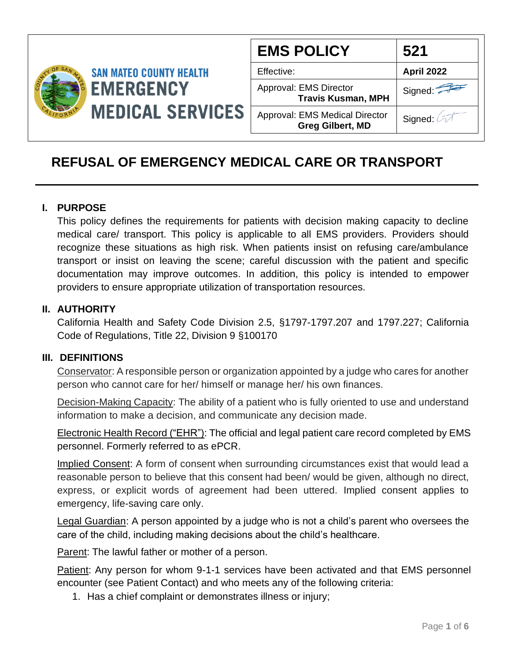

| <b>EMS POLICY</b>                                                | 521        |
|------------------------------------------------------------------|------------|
| Effective:                                                       | April 2022 |
| Approval: EMS Director<br><b>Travis Kusman, MPH</b>              | Signed:    |
| <b>Approval: EMS Medical Director</b><br><b>Greg Gilbert, MD</b> | Signed: 2  |

# **REFUSAL OF EMERGENCY MEDICAL CARE OR TRANSPORT**

#### **I. PURPOSE**

This policy defines the requirements for patients with decision making capacity to decline medical care/ transport. This policy is applicable to all EMS providers. Providers should recognize these situations as high risk. When patients insist on refusing care/ambulance transport or insist on leaving the scene; careful discussion with the patient and specific documentation may improve outcomes. In addition, this policy is intended to empower providers to ensure appropriate utilization of transportation resources.

#### **II. AUTHORITY**

California Health and Safety Code Division 2.5, §1797-1797.207 and 1797.227; California Code of Regulations, Title 22, Division 9 §100170

#### **III. DEFINITIONS**

Conservator: A responsible person or organization appointed by a judge who cares for another person who cannot care for her/ himself or manage her/ his own finances.

Decision-Making Capacity: The ability of a patient who is fully oriented to use and understand information to make a decision, and communicate any decision made.

Electronic Health Record ("EHR"): The official and legal patient care record completed by EMS personnel. Formerly referred to as ePCR.

Implied Consent: A form of consent when surrounding circumstances exist that would lead a reasonable person to believe that this consent had been/ would be given, although no direct, express, or explicit words of agreement had been uttered. Implied consent applies to emergency, life-saving care only.

Legal Guardian: A person appointed by a judge who is not a child's parent who oversees the care of the child, including making decisions about the child's healthcare.

Parent: The lawful father or mother of a person.

Patient: Any person for whom 9-1-1 services have been activated and that EMS personnel encounter (see Patient Contact) and who meets any of the following criteria:

1. Has a chief complaint or demonstrates illness or injury;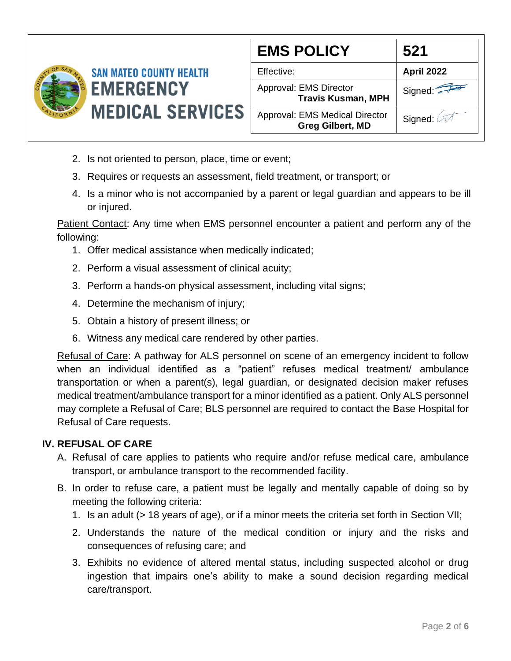

| <b>EMS POLICY</b>                                                | 521               |
|------------------------------------------------------------------|-------------------|
| Effective:                                                       | <b>April 2022</b> |
| Approval: EMS Director<br><b>Travis Kusman, MPH</b>              | Signed:           |
| <b>Approval: EMS Medical Director</b><br><b>Greg Gilbert, MD</b> | Signed: 2         |

- 2. Is not oriented to person, place, time or event;
- 3. Requires or requests an assessment, field treatment, or transport; or
- 4. Is a minor who is not accompanied by a parent or legal guardian and appears to be ill or injured.

Patient Contact: Any time when EMS personnel encounter a patient and perform any of the following:

- 1. Offer medical assistance when medically indicated;
- 2. Perform a visual assessment of clinical acuity;
- 3. Perform a hands-on physical assessment, including vital signs;
- 4. Determine the mechanism of injury;
- 5. Obtain a history of present illness; or
- 6. Witness any medical care rendered by other parties.

Refusal of Care: A pathway for ALS personnel on scene of an emergency incident to follow when an individual identified as a "patient" refuses medical treatment/ ambulance transportation or when a parent(s), legal guardian, or designated decision maker refuses medical treatment/ambulance transport for a minor identified as a patient. Only ALS personnel may complete a Refusal of Care; BLS personnel are required to contact the Base Hospital for Refusal of Care requests.

#### **IV. REFUSAL OF CARE**

- A. Refusal of care applies to patients who require and/or refuse medical care, ambulance transport, or ambulance transport to the recommended facility.
- B. In order to refuse care, a patient must be legally and mentally capable of doing so by meeting the following criteria:
	- 1. Is an adult (> 18 years of age), or if a minor meets the criteria set forth in Section VII;
	- 2. Understands the nature of the medical condition or injury and the risks and consequences of refusing care; and
	- 3. Exhibits no evidence of altered mental status, including suspected alcohol or drug ingestion that impairs one's ability to make a sound decision regarding medical care/transport.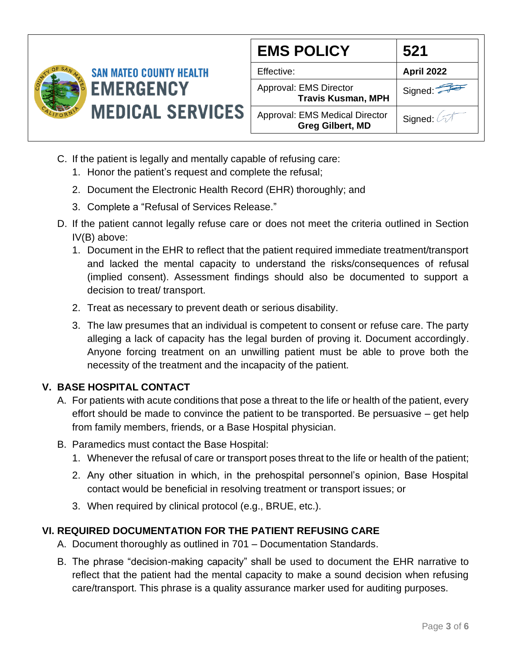

| <b>EMS POLICY</b>                                                | 521        |
|------------------------------------------------------------------|------------|
| Effective:                                                       | April 2022 |
| Approval: EMS Director<br><b>Travis Kusman, MPH</b>              | Signed:    |
| <b>Approval: EMS Medical Director</b><br><b>Greg Gilbert, MD</b> | Signed:    |

- C. If the patient is legally and mentally capable of refusing care:
	- 1. Honor the patient's request and complete the refusal;
	- 2. Document the Electronic Health Record (EHR) thoroughly; and
	- 3. Complete a "Refusal of Services Release."
- D. If the patient cannot legally refuse care or does not meet the criteria outlined in Section IV(B) above:
	- 1. Document in the EHR to reflect that the patient required immediate treatment/transport and lacked the mental capacity to understand the risks/consequences of refusal (implied consent). Assessment findings should also be documented to support a decision to treat/ transport.
	- 2. Treat as necessary to prevent death or serious disability.
	- 3. The law presumes that an individual is competent to consent or refuse care. The party alleging a lack of capacity has the legal burden of proving it. Document accordingly. Anyone forcing treatment on an unwilling patient must be able to prove both the necessity of the treatment and the incapacity of the patient.

# **V. BASE HOSPITAL CONTACT**

- A. For patients with acute conditions that pose a threat to the life or health of the patient, every effort should be made to convince the patient to be transported. Be persuasive – get help from family members, friends, or a Base Hospital physician.
- B. Paramedics must contact the Base Hospital:
	- 1. Whenever the refusal of care or transport poses threat to the life or health of the patient;
	- 2. Any other situation in which, in the prehospital personnel's opinion, Base Hospital contact would be beneficial in resolving treatment or transport issues; or
	- 3. When required by clinical protocol (e.g., BRUE, etc.).

# **VI. REQUIRED DOCUMENTATION FOR THE PATIENT REFUSING CARE**

- A. Document thoroughly as outlined in 701 Documentation Standards.
- B. The phrase "decision-making capacity" shall be used to document the EHR narrative to reflect that the patient had the mental capacity to make a sound decision when refusing care/transport. This phrase is a quality assurance marker used for auditing purposes.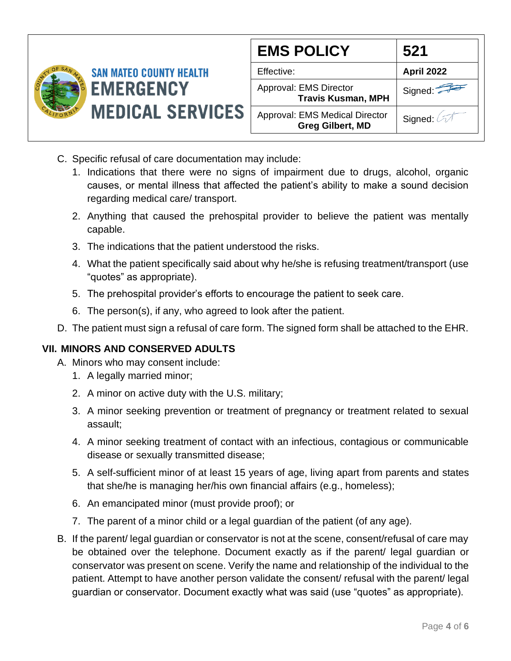

| <b>EMS POLICY</b>                                                | 521        |
|------------------------------------------------------------------|------------|
| Effective:                                                       | April 2022 |
| Approval: EMS Director<br><b>Travis Kusman, MPH</b>              | Signed:    |
| <b>Approval: EMS Medical Director</b><br><b>Greg Gilbert, MD</b> | Signed: 2  |

- C. Specific refusal of care documentation may include:
	- 1. Indications that there were no signs of impairment due to drugs, alcohol, organic causes, or mental illness that affected the patient's ability to make a sound decision regarding medical care/ transport.
	- 2. Anything that caused the prehospital provider to believe the patient was mentally capable.
	- 3. The indications that the patient understood the risks.
	- 4. What the patient specifically said about why he/she is refusing treatment/transport (use "quotes" as appropriate).
	- 5. The prehospital provider's efforts to encourage the patient to seek care.
	- 6. The person(s), if any, who agreed to look after the patient.
- D. The patient must sign a refusal of care form. The signed form shall be attached to the EHR.

# **VII. MINORS AND CONSERVED ADULTS**

- A. Minors who may consent include:
	- 1. A legally married minor;
	- 2. A minor on active duty with the U.S. military;
	- 3. A minor seeking prevention or treatment of pregnancy or treatment related to sexual assault;
	- 4. A minor seeking treatment of contact with an infectious, contagious or communicable disease or sexually transmitted disease;
	- 5. A self-sufficient minor of at least 15 years of age, living apart from parents and states that she/he is managing her/his own financial affairs (e.g., homeless);
	- 6. An emancipated minor (must provide proof); or
	- 7. The parent of a minor child or a legal guardian of the patient (of any age).
- B. If the parent/ legal guardian or conservator is not at the scene, consent/refusal of care may be obtained over the telephone. Document exactly as if the parent/ legal guardian or conservator was present on scene. Verify the name and relationship of the individual to the patient. Attempt to have another person validate the consent/ refusal with the parent/ legal guardian or conservator. Document exactly what was said (use "quotes" as appropriate).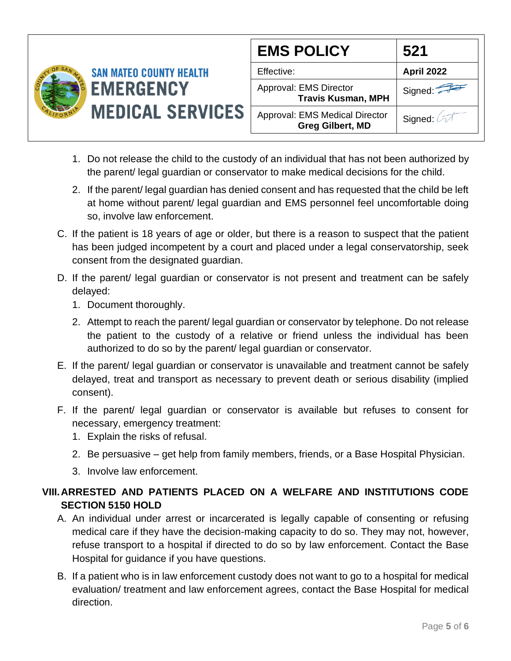

| <b>EMS POLICY</b>                                                | 521               |
|------------------------------------------------------------------|-------------------|
| Effective:                                                       | <b>April 2022</b> |
| Approval: EMS Director<br><b>Travis Kusman, MPH</b>              | Signed:           |
| <b>Approval: EMS Medical Director</b><br><b>Greg Gilbert, MD</b> | Signed:           |

- 1. Do not release the child to the custody of an individual that has not been authorized by the parent/ legal guardian or conservator to make medical decisions for the child.
- 2. If the parent/ legal guardian has denied consent and has requested that the child be left at home without parent/ legal guardian and EMS personnel feel uncomfortable doing so, involve law enforcement.
- C. If the patient is 18 years of age or older, but there is a reason to suspect that the patient has been judged incompetent by a court and placed under a legal conservatorship, seek consent from the designated guardian.
- D. If the parent/ legal guardian or conservator is not present and treatment can be safely delayed:
	- 1. Document thoroughly.
	- 2. Attempt to reach the parent/ legal guardian or conservator by telephone. Do not release the patient to the custody of a relative or friend unless the individual has been authorized to do so by the parent/ legal guardian or conservator.
- E. If the parent/ legal guardian or conservator is unavailable and treatment cannot be safely delayed, treat and transport as necessary to prevent death or serious disability (implied consent).
- F. If the parent/ legal guardian or conservator is available but refuses to consent for necessary, emergency treatment:
	- 1. Explain the risks of refusal.
	- 2. Be persuasive get help from family members, friends, or a Base Hospital Physician.
	- 3. Involve law enforcement.

# **VIII.ARRESTED AND PATIENTS PLACED ON A WELFARE AND INSTITUTIONS CODE SECTION 5150 HOLD**

- A. An individual under arrest or incarcerated is legally capable of consenting or refusing medical care if they have the decision-making capacity to do so. They may not, however, refuse transport to a hospital if directed to do so by law enforcement. Contact the Base Hospital for guidance if you have questions.
- B. If a patient who is in law enforcement custody does not want to go to a hospital for medical evaluation/ treatment and law enforcement agrees, contact the Base Hospital for medical direction.